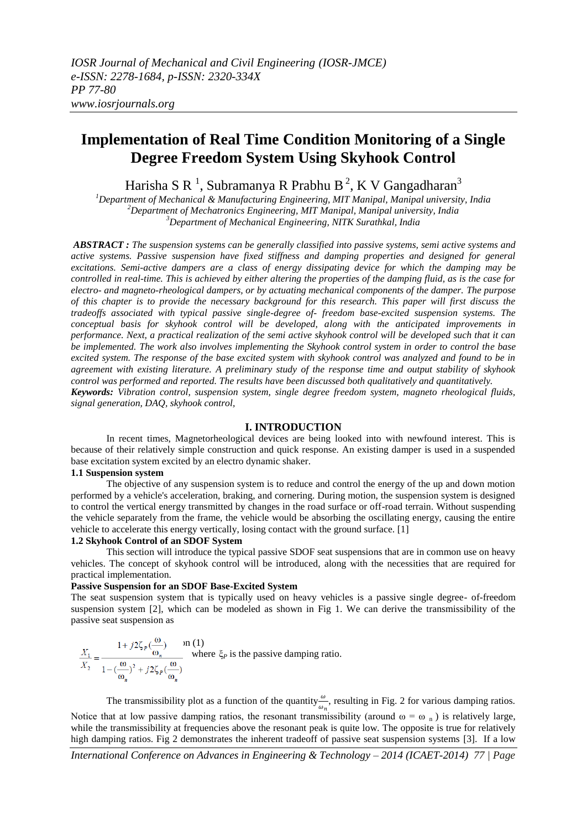# **Implementation of Real Time Condition Monitoring of a Single Degree Freedom System Using Skyhook Control**

Harisha S R $\,$ <sup>1</sup>, Subramanya R Prabhu B $\,{}^2$ , K V Gangadharan $\,{}^3$ 

*<sup>1</sup>Department of Mechanical & Manufacturing Engineering, MIT Manipal, Manipal university, India <sup>2</sup>Department of Mechatronics Engineering, MIT Manipal, Manipal university, India <sup>3</sup>Department of Mechanical Engineering, NITK Surathkal, India*

*ABSTRACT : The suspension systems can be generally classified into passive systems, semi active systems and active systems. Passive suspension have fixed stiffness and damping properties and designed for general excitations. Semi-active dampers are a class of energy dissipating device for which the damping may be controlled in real-time. This is achieved by either altering the properties of the damping fluid, as is the case for electro- and magneto-rheological dampers, or by actuating mechanical components of the damper. The purpose of this chapter is to provide the necessary background for this research. This paper will first discuss the tradeoffs associated with typical passive single-degree of- freedom base-excited suspension systems. The conceptual basis for skyhook control will be developed, along with the anticipated improvements in performance. Next, a practical realization of the semi active skyhook control will be developed such that it can be implemented. The work also involves implementing the Skyhook control system in order to control the base excited system. The response of the base excited system with skyhook control was analyzed and found to be in agreement with existing literature. A preliminary study of the response time and output stability of skyhook control was performed and reported. The results have been discussed both qualitatively and quantitatively. Keywords: Vibration control, suspension system, single degree freedom system, magneto rheological fluids, signal generation, DAQ, skyhook control,*

# **I. INTRODUCTION**

In recent times, Magnetorheological devices are being looked into with newfound interest. This is because of their relatively simple construction and quick response. An existing damper is used in a suspended base excitation system excited by an electro dynamic shaker.

#### **1.1 Suspension system**

The objective of any suspension system is to reduce and control the energy of the up and down motion performed by a vehicle's acceleration, braking, and cornering. During motion, the suspension system is designed to control the vertical energy transmitted by changes in the road surface or off-road terrain. Without suspending the vehicle separately from the frame, the vehicle would be absorbing the oscillating energy, causing the entire vehicle to accelerate this energy vertically, losing contact with the ground surface. [1]

#### **1.2 Skyhook Control of an SDOF System**

This section will introduce the typical passive SDOF seat suspensions that are in common use on heavy vehicles. The concept of skyhook control will be introduced, along with the necessities that are required for practical implementation.

# **Passive Suspension for an SDOF Base-Excited System**

The seat suspension system that is typically used on heavy vehicles is a passive single degree- of-freedom suspension system [2], which can be modeled as shown in Fig 1. We can derive the transmissibility of the passive seat suspension as

$$
\frac{X_1}{X_2} = \frac{1 + j2\zeta_p(\frac{\omega}{\omega_n})}{1 - (\frac{\omega}{\omega_n})^2 + j2\zeta_p(\frac{\omega}{\omega_n})}
$$
 where  $\zeta_p$  is the passive damping ratio.

The transmissibility plot as a function of the quantity  $\frac{\omega}{\omega_n}$ , resulting in Fig. 2 for various damping ratios. Notice that at low passive damping ratios, the resonant transmissibility (around  $\omega = \omega_n$ ) is relatively large, while the transmissibility at frequencies above the resonant peak is quite low. The opposite is true for relatively high damping ratios. Fig 2 demonstrates the inherent tradeoff of passive seat suspension systems [3]. If a low

*International Conference on Advances in Engineering & Technology – 2014 (ICAET-2014) 77 | Page*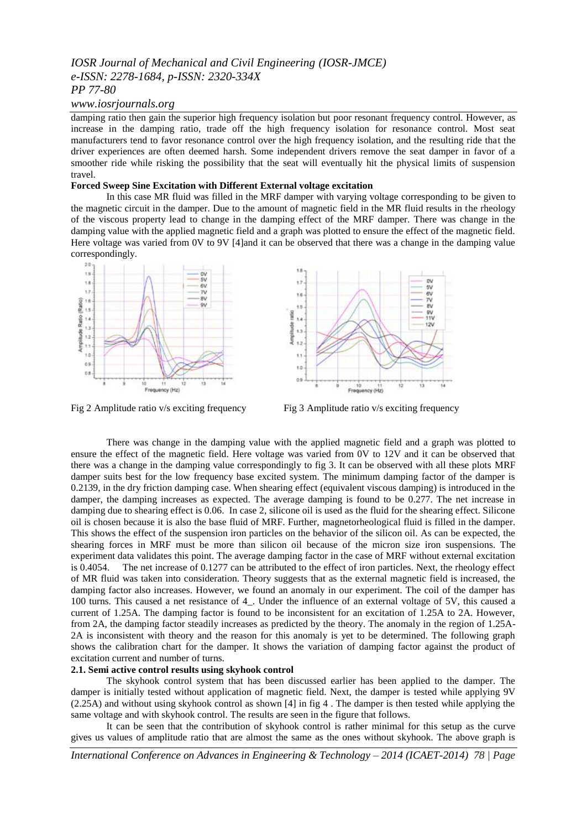# *IOSR Journal of Mechanical and Civil Engineering (IOSR-JMCE) e-ISSN: 2278-1684, p-ISSN: 2320-334X PP 77-80*

### *www.iosrjournals.org*

damping ratio then gain the superior high frequency isolation but poor resonant frequency control. However, as increase in the damping ratio, trade off the high frequency isolation for resonance control. Most seat manufacturers tend to favor resonance control over the high frequency isolation, and the resulting ride that the driver experiences are often deemed harsh. Some independent drivers remove the seat damper in favor of a smoother ride while risking the possibility that the seat will eventually hit the physical limits of suspension travel.

### **Forced Sweep Sine Excitation with Different External voltage excitation**

In this case MR fluid was filled in the MRF damper with varying voltage corresponding to be given to the magnetic circuit in the damper. Due to the amount of magnetic field in the MR fluid results in the rheology of the viscous property lead to change in the damping effect of the MRF damper. There was change in the damping value with the applied magnetic field and a graph was plotted to ensure the effect of the magnetic field. Here voltage was varied from 0V to 9V [4]and it can be observed that there was a change in the damping value correspondingly.



Fig 2 Amplitude ratio v/s exciting frequency Fig 3 Amplitude ratio v/s exciting frequency

m

少しので あいこう

**12V** 

ú

There was change in the damping value with the applied magnetic field and a graph was plotted to ensure the effect of the magnetic field. Here voltage was varied from 0V to 12V and it can be observed that there was a change in the damping value correspondingly to fig 3. It can be observed with all these plots MRF damper suits best for the low frequency base excited system. The minimum damping factor of the damper is 0.2139, in the dry friction damping case. When shearing effect (equivalent viscous damping) is introduced in the damper, the damping increases as expected. The average damping is found to be 0.277. The net increase in damping due to shearing effect is 0.06. In case 2, silicone oil is used as the fluid for the shearing effect. Silicone oil is chosen because it is also the base fluid of MRF. Further, magnetorheological fluid is filled in the damper. This shows the effect of the suspension iron particles on the behavior of the silicon oil. As can be expected, the shearing forces in MRF must be more than silicon oil because of the micron size iron suspensions. The experiment data validates this point. The average damping factor in the case of MRF without external excitation is 0.4054. The net increase of 0.1277 can be attributed to the effect of iron particles. Next, the rheology effect of MR fluid was taken into consideration. Theory suggests that as the external magnetic field is increased, the damping factor also increases. However, we found an anomaly in our experiment. The coil of the damper has 100 turns. This caused a net resistance of 4\_. Under the influence of an external voltage of 5V, this caused a current of 1.25A. The damping factor is found to be inconsistent for an excitation of 1.25A to 2A. However, from 2A, the damping factor steadily increases as predicted by the theory. The anomaly in the region of 1.25A-2A is inconsistent with theory and the reason for this anomaly is yet to be determined. The following graph shows the calibration chart for the damper. It shows the variation of damping factor against the product of excitation current and number of turns.

# **2.1. Semi active control results using skyhook control**

The skyhook control system that has been discussed earlier has been applied to the damper. The damper is initially tested without application of magnetic field. Next, the damper is tested while applying 9V (2.25A) and without using skyhook control as shown [4] in fig 4 . The damper is then tested while applying the same voltage and with skyhook control. The results are seen in the figure that follows.

It can be seen that the contribution of skyhook control is rather minimal for this setup as the curve gives us values of amplitude ratio that are almost the same as the ones without skyhook. The above graph is

*International Conference on Advances in Engineering & Technology – 2014 (ICAET-2014) 78 | Page*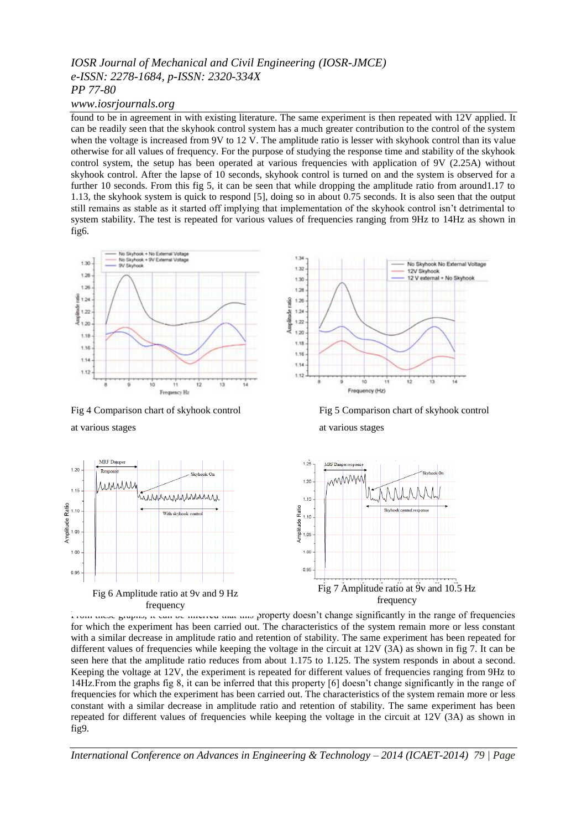# *IOSR Journal of Mechanical and Civil Engineering (IOSR-JMCE) e-ISSN: 2278-1684, p-ISSN: 2320-334X PP 77-80*

# *www.iosrjournals.org*

found to be in agreement in with existing literature. The same experiment is then repeated with 12V applied. It can be readily seen that the skyhook control system has a much greater contribution to the control of the system when the voltage is increased from 9V to 12 V. The amplitude ratio is lesser with skyhook control than its value otherwise for all values of frequency. For the purpose of studying the response time and stability of the skyhook control system, the setup has been operated at various frequencies with application of 9V (2.25A) without skyhook control. After the lapse of 10 seconds, skyhook control is turned on and the system is observed for a further 10 seconds. From this fig 5, it can be seen that while dropping the amplitude ratio from around1.17 to 1.13, the skyhook system is quick to respond [5], doing so in about 0.75 seconds. It is also seen that the output still remains as stable as it started off implying that implementation of the skyhook control isn't detrimental to system stability. The test is repeated for various values of frequencies ranging from 9Hz to 14Hz as shown in fig6.



Fig 4 Comparison chart of skyhook control Fig 5 Comparison chart of skyhook control

at various stages at various stages

 $1.20$ 

 $1.15$ 

Amplitude Ratio<br>1.05<br>05

1.00

0.95





From these graphs, it can be inferred that this property doesn't change significantly in the range of frequencies for which the experiment has been carried out. The characteristics of the system remain more or less constant with a similar decrease in amplitude ratio and retention of stability. The same experiment has been repeated for different values of frequencies while keeping the voltage in the circuit at 12V (3A) as shown in fig 7. It can be seen here that the amplitude ratio reduces from about 1.175 to 1.125. The system responds in about a second. Keeping the voltage at 12V, the experiment is repeated for different values of frequencies ranging from 9Hz to 14Hz.From the graphs fig 8, it can be inferred that this property [6] doesn't change significantly in the range of frequencies for which the experiment has been carried out. The characteristics of the system remain more or less constant with a similar decrease in amplitude ratio and retention of stability. The same experiment has been repeated for different values of frequencies while keeping the voltage in the circuit at 12V (3A) as shown in fig9.

*International Conference on Advances in Engineering & Technology – 2014 (ICAET-2014) 79 | Page*